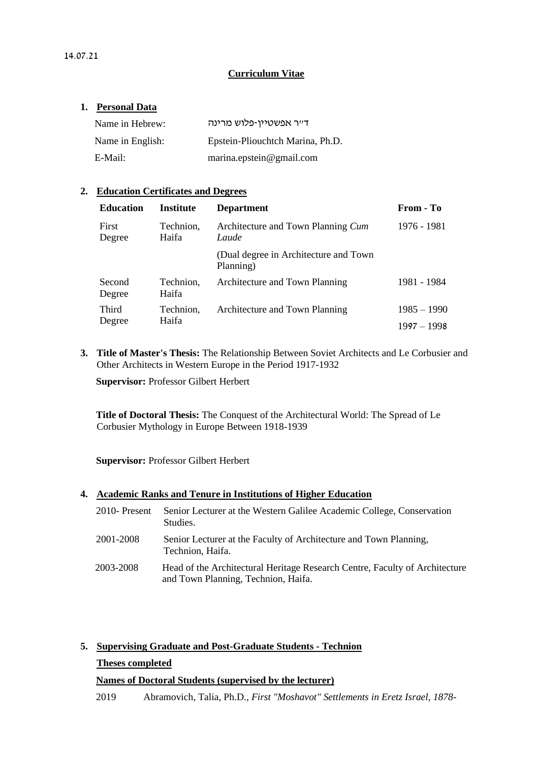#### **Curriculum Vitae**

#### **1. Personal Data**

| Name in Hebrew:  | דייר אפשטיין-פלוש מרינה          |
|------------------|----------------------------------|
| Name in English: | Epstein-Pliouchtch Marina, Ph.D. |
| E-Mail:          | marina.epstein@gmail.com         |

#### **2. Education Certificates and Degrees**

| <b>Education</b> | <b>Institute</b>   | <b>Department</b>                                   | From - To     |
|------------------|--------------------|-----------------------------------------------------|---------------|
| First<br>Degree  | Technion,<br>Haifa | Architecture and Town Planning Cum<br>Laude         | 1976 - 1981   |
|                  |                    | (Dual degree in Architecture and Town)<br>Planning) |               |
| Second<br>Degree | Technion,<br>Haifa | Architecture and Town Planning                      | 1981 - 1984   |
| Third            | Technion,          | Architecture and Town Planning                      | $1985 - 1990$ |
| Degree           | Haifa              |                                                     | $1997 - 1998$ |

**3. Title of Master's Thesis:** The Relationship Between Soviet Architects and Le Corbusier and Other Architects in Western Europe in the Period 1917-1932

**Supervisor:** Professor Gilbert Herbert

**Title of Doctoral Thesis:** The Conquest of the Architectural World: The Spread of Le Corbusier Mythology in Europe Between 1918-1939

**Supervisor:** Professor Gilbert Herbert

#### **4. Academic Ranks and Tenure in Institutions of Higher Education**

| 2010- Present | Senior Lecturer at the Western Galilee Academic College, Conservation<br>Studies.                                  |
|---------------|--------------------------------------------------------------------------------------------------------------------|
| 2001-2008     | Senior Lecturer at the Faculty of Architecture and Town Planning,<br>Technion, Haifa.                              |
| 2003-2008     | Head of the Architectural Heritage Research Centre, Faculty of Architecture<br>and Town Planning, Technion, Haifa. |

# **5. Supervising Graduate and Post-Graduate Students - Technion**

#### **Theses completed**

#### **Names of Doctoral Students (supervised by the lecturer)**

2019 Abramovich, Talia, Ph.D., *First "Moshavot" Settlements in Eretz Israel, 1878-*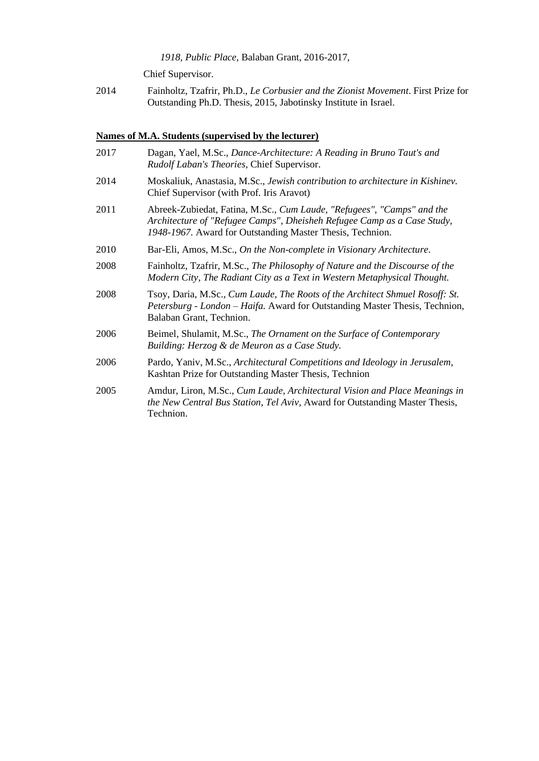*1918, Public Place,* Balaban Grant, 2016-2017,

Chief Supervisor.

2014 Fainholtz, Tzafrir, Ph.D., *Le Corbusier and the Zionist Movement*. First Prize for Outstanding Ph.D. Thesis, 2015, Jabotinsky Institute in Israel.

# **Names of M.A. Students (supervised by the lecturer)**

| 2017 | Dagan, Yael, M.Sc., Dance-Architecture: A Reading in Bruno Taut's and<br>Rudolf Laban's Theories, Chief Supervisor.                                                                                            |
|------|----------------------------------------------------------------------------------------------------------------------------------------------------------------------------------------------------------------|
| 2014 | Moskaliuk, Anastasia, M.Sc., Jewish contribution to architecture in Kishinev.<br>Chief Supervisor (with Prof. Iris Aravot)                                                                                     |
| 2011 | Abreek-Zubiedat, Fatina, M.Sc., Cum Laude, "Refugees", "Camps" and the<br>Architecture of "Refugee Camps", Dheisheh Refugee Camp as a Case Study,<br>1948-1967. Award for Outstanding Master Thesis, Technion. |
| 2010 | Bar-Eli, Amos, M.Sc., On the Non-complete in Visionary Architecture.                                                                                                                                           |
| 2008 | Fainholtz, Tzafrir, M.Sc., The Philosophy of Nature and the Discourse of the<br>Modern City, The Radiant City as a Text in Western Metaphysical Thought.                                                       |
| 2008 | Tsoy, Daria, M.Sc., Cum Laude, The Roots of the Architect Shmuel Rosoff: St.<br>Petersburg - London – Haifa. Award for Outstanding Master Thesis, Technion,<br>Balaban Grant, Technion.                        |
| 2006 | Beimel, Shulamit, M.Sc., The Ornament on the Surface of Contemporary<br>Building: Herzog & de Meuron as a Case Study.                                                                                          |
| 2006 | Pardo, Yaniv, M.Sc., Architectural Competitions and Ideology in Jerusalem,<br>Kashtan Prize for Outstanding Master Thesis, Technion                                                                            |
| 2005 | Amdur, Liron, M.Sc., Cum Laude, Architectural Vision and Place Meanings in<br>the New Central Bus Station, Tel Aviv, Award for Outstanding Master Thesis,<br>Technion.                                         |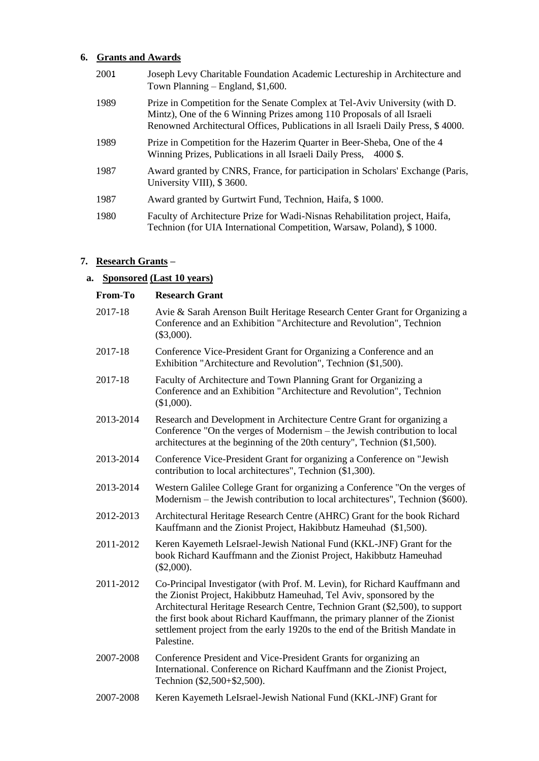# **6. Grants and Awards**

| 2001 | Joseph Levy Charitable Foundation Academic Lectureship in Architecture and<br>Town Planning $-$ England, \$1,600.                                                                                                                         |
|------|-------------------------------------------------------------------------------------------------------------------------------------------------------------------------------------------------------------------------------------------|
| 1989 | Prize in Competition for the Senate Complex at Tel-Aviv University (with D.<br>Mintz), One of the 6 Winning Prizes among 110 Proposals of all Israeli<br>Renowned Architectural Offices, Publications in all Israeli Daily Press, \$4000. |
| 1989 | Prize in Competition for the Hazerim Quarter in Beer-Sheba, One of the 4<br>Winning Prizes, Publications in all Israeli Daily Press, 4000 \$.                                                                                             |
| 1987 | Award granted by CNRS, France, for participation in Scholars' Exchange (Paris,<br>University VIII), \$3600.                                                                                                                               |
| 1987 | Award granted by Gurtwirt Fund, Technion, Haifa, \$1000.                                                                                                                                                                                  |
| 1980 | Faculty of Architecture Prize for Wadi-Nisnas Rehabilitation project, Haifa,<br>Technion (for UIA International Competition, Warsaw, Poland), \$1000.                                                                                     |

# **7. Research Grants –**

# **a. Sponsored (Last 10 years)**

| From-To   | <b>Research Grant</b>                                                                                                                                                                                                                                                                                                                                                                                         |
|-----------|---------------------------------------------------------------------------------------------------------------------------------------------------------------------------------------------------------------------------------------------------------------------------------------------------------------------------------------------------------------------------------------------------------------|
| 2017-18   | Avie & Sarah Arenson Built Heritage Research Center Grant for Organizing a<br>Conference and an Exhibition "Architecture and Revolution", Technion<br>$(\$3,000).$                                                                                                                                                                                                                                            |
| 2017-18   | Conference Vice-President Grant for Organizing a Conference and an<br>Exhibition "Architecture and Revolution", Technion (\$1,500).                                                                                                                                                                                                                                                                           |
| 2017-18   | Faculty of Architecture and Town Planning Grant for Organizing a<br>Conference and an Exhibition "Architecture and Revolution", Technion<br>(\$1,000).                                                                                                                                                                                                                                                        |
| 2013-2014 | Research and Development in Architecture Centre Grant for organizing a<br>Conference "On the verges of Modernism – the Jewish contribution to local<br>architectures at the beginning of the 20th century", Technion (\$1,500).                                                                                                                                                                               |
| 2013-2014 | Conference Vice-President Grant for organizing a Conference on "Jewish"<br>contribution to local architectures", Technion (\$1,300).                                                                                                                                                                                                                                                                          |
| 2013-2014 | Western Galilee College Grant for organizing a Conference "On the verges of<br>Modernism – the Jewish contribution to local architectures", Technion (\$600).                                                                                                                                                                                                                                                 |
| 2012-2013 | Architectural Heritage Research Centre (AHRC) Grant for the book Richard<br>Kauffmann and the Zionist Project, Hakibbutz Hameuhad (\$1,500).                                                                                                                                                                                                                                                                  |
| 2011-2012 | Keren Kayemeth LeIsrael-Jewish National Fund (KKL-JNF) Grant for the<br>book Richard Kauffmann and the Zionist Project, Hakibbutz Hameuhad<br>$(\$2,000).$                                                                                                                                                                                                                                                    |
| 2011-2012 | Co-Principal Investigator (with Prof. M. Levin), for Richard Kauffmann and<br>the Zionist Project, Hakibbutz Hameuhad, Tel Aviv, sponsored by the<br>Architectural Heritage Research Centre, Technion Grant (\$2,500), to support<br>the first book about Richard Kauffmann, the primary planner of the Zionist<br>settlement project from the early 1920s to the end of the British Mandate in<br>Palestine. |
| 2007-2008 | Conference President and Vice-President Grants for organizing an<br>International. Conference on Richard Kauffmann and the Zionist Project,<br>Technion (\$2,500+\$2,500).                                                                                                                                                                                                                                    |
| 2007-2008 | Keren Kayemeth LeIsrael-Jewish National Fund (KKL-JNF) Grant for                                                                                                                                                                                                                                                                                                                                              |
|           |                                                                                                                                                                                                                                                                                                                                                                                                               |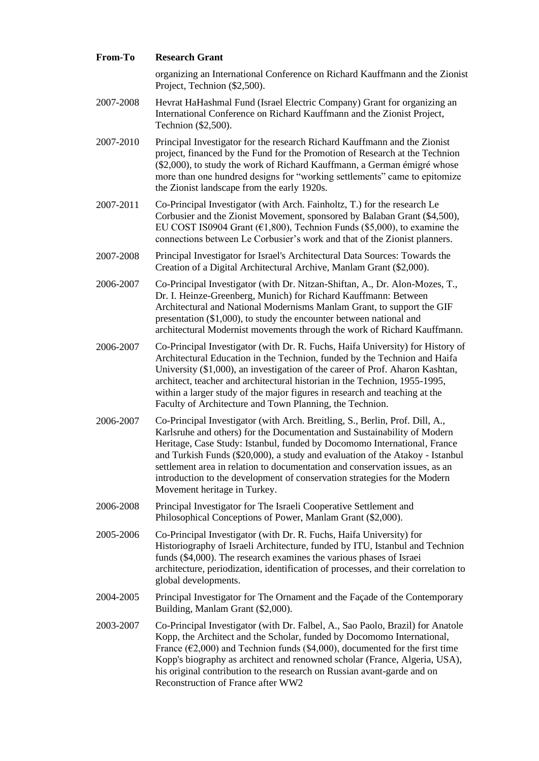| From-To   | <b>Research Grant</b>                                                                                                                                                                                                                                                                                                                                                                                                                                                                                             |
|-----------|-------------------------------------------------------------------------------------------------------------------------------------------------------------------------------------------------------------------------------------------------------------------------------------------------------------------------------------------------------------------------------------------------------------------------------------------------------------------------------------------------------------------|
|           | organizing an International Conference on Richard Kauffmann and the Zionist<br>Project, Technion (\$2,500).                                                                                                                                                                                                                                                                                                                                                                                                       |
| 2007-2008 | Hevrat HaHashmal Fund (Israel Electric Company) Grant for organizing an<br>International Conference on Richard Kauffmann and the Zionist Project,<br>Technion (\$2,500).                                                                                                                                                                                                                                                                                                                                          |
| 2007-2010 | Principal Investigator for the research Richard Kauffmann and the Zionist<br>project, financed by the Fund for the Promotion of Research at the Technion<br>(\$2,000), to study the work of Richard Kauffmann, a German émigré whose<br>more than one hundred designs for "working settlements" came to epitomize<br>the Zionist landscape from the early 1920s.                                                                                                                                                  |
| 2007-2011 | Co-Principal Investigator (with Arch. Fainholtz, T.) for the research Le<br>Corbusier and the Zionist Movement, sponsored by Balaban Grant (\$4,500),<br>EU COST IS0904 Grant ( $\epsilon$ 1,800), Technion Funds (\$5,000), to examine the<br>connections between Le Corbusier's work and that of the Zionist planners.                                                                                                                                                                                          |
| 2007-2008 | Principal Investigator for Israel's Architectural Data Sources: Towards the<br>Creation of a Digital Architectural Archive, Manlam Grant (\$2,000).                                                                                                                                                                                                                                                                                                                                                               |
| 2006-2007 | Co-Principal Investigator (with Dr. Nitzan-Shiftan, A., Dr. Alon-Mozes, T.,<br>Dr. I. Heinze-Greenberg, Munich) for Richard Kauffmann: Between<br>Architectural and National Modernisms Manlam Grant, to support the GIF<br>presentation (\$1,000), to study the encounter between national and<br>architectural Modernist movements through the work of Richard Kauffmann.                                                                                                                                       |
| 2006-2007 | Co-Principal Investigator (with Dr. R. Fuchs, Haifa University) for History of<br>Architectural Education in the Technion, funded by the Technion and Haifa<br>University (\$1,000), an investigation of the career of Prof. Aharon Kashtan,<br>architect, teacher and architectural historian in the Technion, 1955-1995,<br>within a larger study of the major figures in research and teaching at the<br>Faculty of Architecture and Town Planning, the Technion.                                              |
| 2006-2007 | Co-Principal Investigator (with Arch. Breitling, S., Berlin, Prof. Dill, A.,<br>Karlsruhe and others) for the Documentation and Sustainability of Modern<br>Heritage, Case Study: Istanbul, funded by Docomomo International, France<br>and Turkish Funds (\$20,000), a study and evaluation of the Atakoy - Istanbul<br>settlement area in relation to documentation and conservation issues, as an<br>introduction to the development of conservation strategies for the Modern<br>Movement heritage in Turkey. |
| 2006-2008 | Principal Investigator for The Israeli Cooperative Settlement and<br>Philosophical Conceptions of Power, Manlam Grant (\$2,000).                                                                                                                                                                                                                                                                                                                                                                                  |
| 2005-2006 | Co-Principal Investigator (with Dr. R. Fuchs, Haifa University) for<br>Historiography of Israeli Architecture, funded by ITU, Istanbul and Technion<br>funds (\$4,000). The research examines the various phases of Israei<br>architecture, periodization, identification of processes, and their correlation to<br>global developments.                                                                                                                                                                          |
| 2004-2005 | Principal Investigator for The Ornament and the Façade of the Contemporary<br>Building, Manlam Grant (\$2,000).                                                                                                                                                                                                                                                                                                                                                                                                   |
| 2003-2007 | Co-Principal Investigator (with Dr. Falbel, A., Sao Paolo, Brazil) for Anatole<br>Kopp, the Architect and the Scholar, funded by Docomomo International,<br>France ( $\epsilon$ ) 000) and Technion funds (\$4,000) documented for the first time                                                                                                                                                                                                                                                                 |

France ( $\epsilon$ 2,000) and Technion funds (\$4,000), documented for the first time Kopp's biography as architect and renowned scholar (France, Algeria, USA), his original contribution to the research on Russian avant-garde and on Reconstruction of France after WW2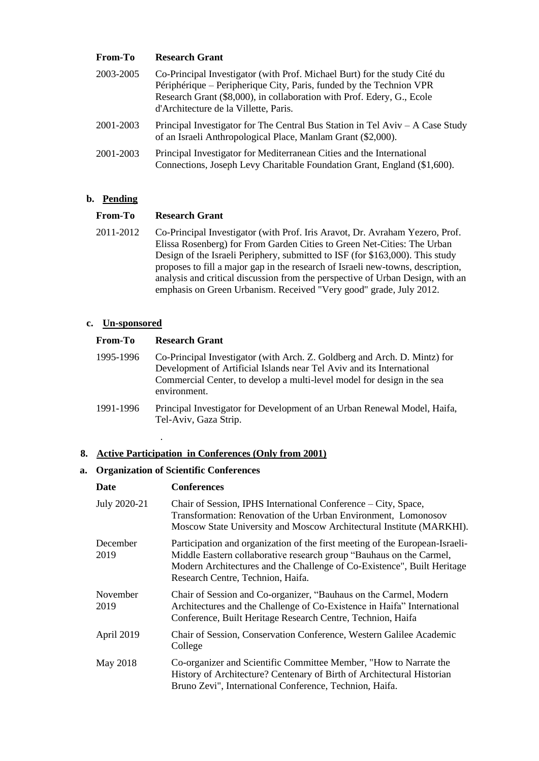### **From-To Research Grant**

| 2003-2005 | Co-Principal Investigator (with Prof. Michael Burt) for the study Cité du<br>Périphérique – Peripherique City, Paris, funded by the Technion VPR<br>Research Grant (\$8,000), in collaboration with Prof. Edery, G., Ecole<br>d'Architecture de la Villette, Paris. |
|-----------|---------------------------------------------------------------------------------------------------------------------------------------------------------------------------------------------------------------------------------------------------------------------|
| 2001-2003 | Principal Investigator for The Central Bus Station in Tel Aviv – A Case Study<br>of an Israeli Anthropological Place, Manlam Grant (\$2,000).                                                                                                                       |
| 2001-2003 | Principal Investigator for Mediterranean Cities and the International<br>Connections, Joseph Levy Charitable Foundation Grant, England (\$1,600).                                                                                                                   |

#### **b. Pending**

#### **From-To Research Grant**

2011-2012 Co-Principal Investigator (with Prof. Iris Aravot, Dr. Avraham Yezero, Prof. Elissa Rosenberg) for From Garden Cities to Green Net-Cities: The Urban Design of the Israeli Periphery, submitted to ISF (for \$163,000). This study proposes to fill a major gap in the research of Israeli new-towns, description, analysis and critical discussion from the perspective of Urban Design, with an emphasis on Green Urbanism. Received "Very good" grade, July 2012.

### **c. Un-sponsored**

| From-To   | <b>Research Grant</b>                                                                                                                                                                                                                         |
|-----------|-----------------------------------------------------------------------------------------------------------------------------------------------------------------------------------------------------------------------------------------------|
| 1995-1996 | Co-Principal Investigator (with Arch. Z. Goldberg and Arch. D. Mintz) for<br>Development of Artificial Islands near Tel Aviv and its International<br>Commercial Center, to develop a multi-level model for design in the sea<br>environment. |
| 1991-1996 | Principal Investigator for Development of an Urban Renewal Model, Haifa,<br>Tel-Aviv, Gaza Strip.                                                                                                                                             |

# **8. Active Participation in Conferences (Only from 2001)**

#### **a. Organization of Scientific Conferences**

.

| <b>Conferences</b>                                                                                                                                                                                                                                                  |
|---------------------------------------------------------------------------------------------------------------------------------------------------------------------------------------------------------------------------------------------------------------------|
| Chair of Session, IPHS International Conference – City, Space,<br>Transformation: Renovation of the Urban Environment, Lomonosov<br>Moscow State University and Moscow Architectural Institute (MARKHI).                                                            |
| Participation and organization of the first meeting of the European-Israeli-<br>Middle Eastern collaborative research group "Bauhaus on the Carmel,<br>Modern Architectures and the Challenge of Co-Existence", Built Heritage<br>Research Centre, Technion, Haifa. |
| Chair of Session and Co-organizer, "Bauhaus on the Carmel, Modern<br>Architectures and the Challenge of Co-Existence in Haifa" International<br>Conference, Built Heritage Research Centre, Technion, Haifa                                                         |
| Chair of Session, Conservation Conference, Western Galilee Academic<br>College                                                                                                                                                                                      |
| Co-organizer and Scientific Committee Member, "How to Narrate the<br>History of Architecture? Centenary of Birth of Architectural Historian<br>Bruno Zevi", International Conference, Technion, Haifa.                                                              |
|                                                                                                                                                                                                                                                                     |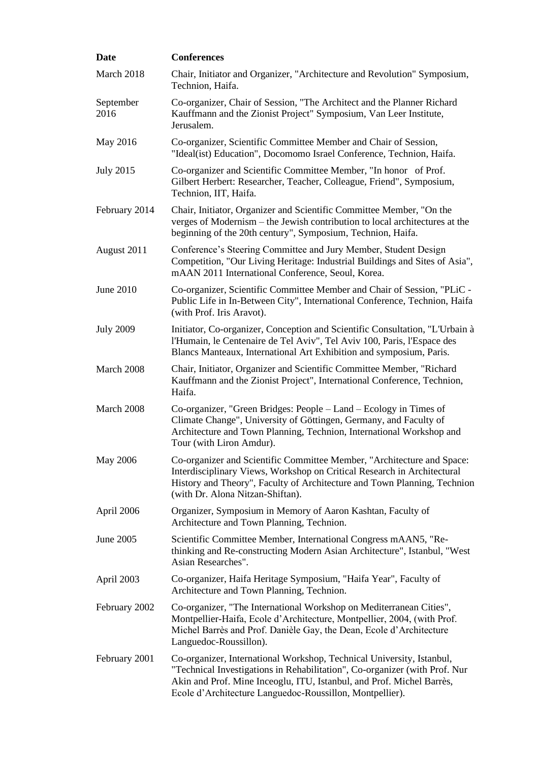| <b>Date</b>       | <b>Conferences</b>                                                                                                                                                                                                                                                                       |
|-------------------|------------------------------------------------------------------------------------------------------------------------------------------------------------------------------------------------------------------------------------------------------------------------------------------|
| March 2018        | Chair, Initiator and Organizer, "Architecture and Revolution" Symposium,<br>Technion, Haifa.                                                                                                                                                                                             |
| September<br>2016 | Co-organizer, Chair of Session, "The Architect and the Planner Richard<br>Kauffmann and the Zionist Project" Symposium, Van Leer Institute,<br>Jerusalem.                                                                                                                                |
| May 2016          | Co-organizer, Scientific Committee Member and Chair of Session,<br>"Ideal(ist) Education", Docomomo Israel Conference, Technion, Haifa.                                                                                                                                                  |
| <b>July 2015</b>  | Co-organizer and Scientific Committee Member, "In honor of Prof.<br>Gilbert Herbert: Researcher, Teacher, Colleague, Friend", Symposium,<br>Technion, IIT, Haifa.                                                                                                                        |
| February 2014     | Chair, Initiator, Organizer and Scientific Committee Member, "On the<br>verges of Modernism – the Jewish contribution to local architectures at the<br>beginning of the 20th century", Symposium, Technion, Haifa.                                                                       |
| August 2011       | Conference's Steering Committee and Jury Member, Student Design<br>Competition, "Our Living Heritage: Industrial Buildings and Sites of Asia",<br>mAAN 2011 International Conference, Seoul, Korea.                                                                                      |
| June 2010         | Co-organizer, Scientific Committee Member and Chair of Session, "PLiC -<br>Public Life in In-Between City", International Conference, Technion, Haifa<br>(with Prof. Iris Aravot).                                                                                                       |
| <b>July 2009</b>  | Initiator, Co-organizer, Conception and Scientific Consultation, "L'Urbain à<br>l'Humain, le Centenaire de Tel Aviv", Tel Aviv 100, Paris, l'Espace des<br>Blancs Manteaux, International Art Exhibition and symposium, Paris.                                                           |
| March 2008        | Chair, Initiator, Organizer and Scientific Committee Member, "Richard<br>Kauffmann and the Zionist Project", International Conference, Technion,<br>Haifa.                                                                                                                               |
| March 2008        | Co-organizer, "Green Bridges: People - Land - Ecology in Times of<br>Climate Change", University of Göttingen, Germany, and Faculty of<br>Architecture and Town Planning, Technion, International Workshop and<br>Tour (with Liron Amdur).                                               |
| <b>May 2006</b>   | Co-organizer and Scientific Committee Member, "Architecture and Space:<br>Interdisciplinary Views, Workshop on Critical Research in Architectural<br>History and Theory", Faculty of Architecture and Town Planning, Technion<br>(with Dr. Alona Nitzan-Shiftan).                        |
| April 2006        | Organizer, Symposium in Memory of Aaron Kashtan, Faculty of<br>Architecture and Town Planning, Technion.                                                                                                                                                                                 |
| June 2005         | Scientific Committee Member, International Congress mAAN5, "Re-<br>thinking and Re-constructing Modern Asian Architecture", Istanbul, "West<br>Asian Researches".                                                                                                                        |
| April 2003        | Co-organizer, Haifa Heritage Symposium, "Haifa Year", Faculty of<br>Architecture and Town Planning, Technion.                                                                                                                                                                            |
| February 2002     | Co-organizer, "The International Workshop on Mediterranean Cities",<br>Montpellier-Haifa, Ecole d'Architecture, Montpellier, 2004, (with Prof.<br>Michel Barrès and Prof. Danièle Gay, the Dean, Ecole d'Architecture<br>Languedoc-Roussillon).                                          |
| February 2001     | Co-organizer, International Workshop, Technical University, Istanbul,<br>"Technical Investigations in Rehabilitation", Co-organizer (with Prof. Nur<br>Akin and Prof. Mine Inceoglu, ITU, Istanbul, and Prof. Michel Barrès,<br>Ecole d'Architecture Languedoc-Roussillon, Montpellier). |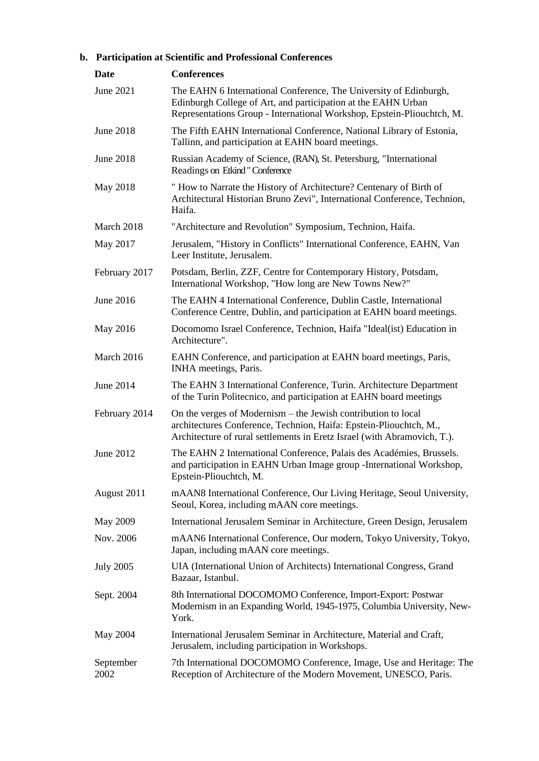# **b. Participation at Scientific and Professional Conferences**

| Date              | <b>Conferences</b>                                                                                                                                                                                              |
|-------------------|-----------------------------------------------------------------------------------------------------------------------------------------------------------------------------------------------------------------|
| June 2021         | The EAHN 6 International Conference, The University of Edinburgh,<br>Edinburgh College of Art, and participation at the EAHN Urban<br>Representations Group - International Workshop, Epstein-Pliouchtch, M.    |
| <b>June 2018</b>  | The Fifth EAHN International Conference, National Library of Estonia,<br>Tallinn, and participation at EAHN board meetings.                                                                                     |
| <b>June 2018</b>  | Russian Academy of Science, (RAN), St. Petersburg, "International<br>Readings on Etkind "Conference                                                                                                             |
| May 2018          | " How to Narrate the History of Architecture? Centenary of Birth of<br>Architectural Historian Bruno Zevi", International Conference, Technion,<br>Haifa.                                                       |
| March 2018        | "Architecture and Revolution" Symposium, Technion, Haifa.                                                                                                                                                       |
| May 2017          | Jerusalem, "History in Conflicts" International Conference, EAHN, Van<br>Leer Institute, Jerusalem.                                                                                                             |
| February 2017     | Potsdam, Berlin, ZZF, Centre for Contemporary History, Potsdam,<br>International Workshop, "How long are New Towns New?"                                                                                        |
| <b>June 2016</b>  | The EAHN 4 International Conference, Dublin Castle, International<br>Conference Centre, Dublin, and participation at EAHN board meetings.                                                                       |
| May 2016          | Docomomo Israel Conference, Technion, Haifa "Ideal(ist) Education in<br>Architecture".                                                                                                                          |
| March 2016        | EAHN Conference, and participation at EAHN board meetings, Paris,<br>INHA meetings, Paris.                                                                                                                      |
| <b>June 2014</b>  | The EAHN 3 International Conference, Turin. Architecture Department<br>of the Turin Politecnico, and participation at EAHN board meetings                                                                       |
| February 2014     | On the verges of Modernism – the Jewish contribution to local<br>architectures Conference, Technion, Haifa: Epstein-Pliouchtch, M.,<br>Architecture of rural settlements in Eretz Israel (with Abramovich, T.). |
| June 2012         | The EAHN 2 International Conference, Palais des Académies, Brussels.<br>and participation in EAHN Urban Image group -International Workshop,<br>Epstein-Pliouchtch, M.                                          |
| August 2011       | mAAN8 International Conference, Our Living Heritage, Seoul University,<br>Seoul, Korea, including mAAN core meetings.                                                                                           |
| May 2009          | International Jerusalem Seminar in Architecture, Green Design, Jerusalem                                                                                                                                        |
| Nov. 2006         | mAAN6 International Conference, Our modern, Tokyo University, Tokyo,<br>Japan, including mAAN core meetings.                                                                                                    |
| <b>July 2005</b>  | UIA (International Union of Architects) International Congress, Grand<br>Bazaar, Istanbul.                                                                                                                      |
| Sept. 2004        | 8th International DOCOMOMO Conference, Import-Export: Postwar<br>Modernism in an Expanding World, 1945-1975, Columbia University, New-<br>York.                                                                 |
| May 2004          | International Jerusalem Seminar in Architecture, Material and Craft,<br>Jerusalem, including participation in Workshops.                                                                                        |
| September<br>2002 | 7th International DOCOMOMO Conference, Image, Use and Heritage: The<br>Reception of Architecture of the Modern Movement, UNESCO, Paris.                                                                         |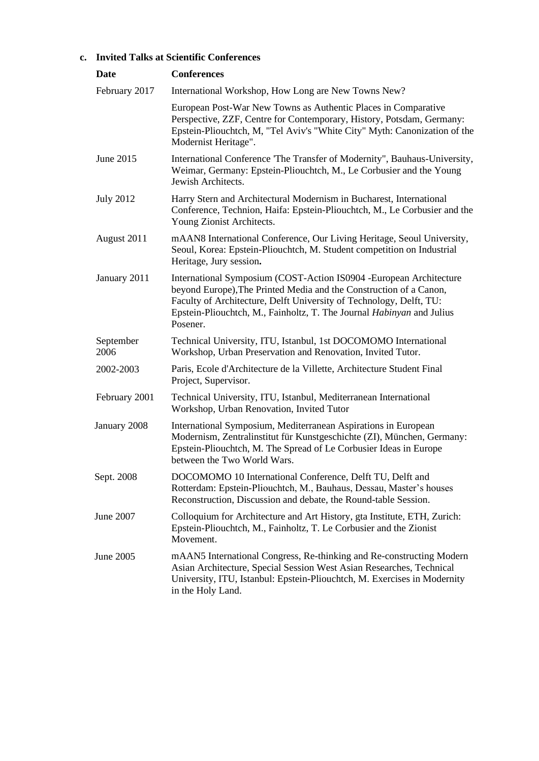# **c. Invited Talks at Scientific Conferences**

| Date              | <b>Conferences</b>                                                                                                                                                                                                                                                                                    |
|-------------------|-------------------------------------------------------------------------------------------------------------------------------------------------------------------------------------------------------------------------------------------------------------------------------------------------------|
| February 2017     | International Workshop, How Long are New Towns New?                                                                                                                                                                                                                                                   |
|                   | European Post-War New Towns as Authentic Places in Comparative<br>Perspective, ZZF, Centre for Contemporary, History, Potsdam, Germany:<br>Epstein-Pliouchtch, M, "Tel Aviv's "White City" Myth: Canonization of the<br>Modernist Heritage".                                                          |
| June 2015         | International Conference 'The Transfer of Modernity'', Bauhaus-University,<br>Weimar, Germany: Epstein-Pliouchtch, M., Le Corbusier and the Young<br>Jewish Architects.                                                                                                                               |
| <b>July 2012</b>  | Harry Stern and Architectural Modernism in Bucharest, International<br>Conference, Technion, Haifa: Epstein-Pliouchtch, M., Le Corbusier and the<br>Young Zionist Architects.                                                                                                                         |
| August 2011       | mAAN8 International Conference, Our Living Heritage, Seoul University,<br>Seoul, Korea: Epstein-Pliouchtch, M. Student competition on Industrial<br>Heritage, Jury session.                                                                                                                           |
| January 2011      | International Symposium (COST-Action IS0904 - European Architecture<br>beyond Europe), The Printed Media and the Construction of a Canon,<br>Faculty of Architecture, Delft University of Technology, Delft, TU:<br>Epstein-Pliouchtch, M., Fainholtz, T. The Journal Habinyan and Julius<br>Posener. |
| September<br>2006 | Technical University, ITU, Istanbul, 1st DOCOMOMO International<br>Workshop, Urban Preservation and Renovation, Invited Tutor.                                                                                                                                                                        |
| 2002-2003         | Paris, Ecole d'Architecture de la Villette, Architecture Student Final<br>Project, Supervisor.                                                                                                                                                                                                        |
| February 2001     | Technical University, ITU, Istanbul, Mediterranean International<br>Workshop, Urban Renovation, Invited Tutor                                                                                                                                                                                         |
| January 2008      | International Symposium, Mediterranean Aspirations in European<br>Modernism, Zentralinstitut für Kunstgeschichte (ZI), München, Germany:<br>Epstein-Pliouchtch, M. The Spread of Le Corbusier Ideas in Europe<br>between the Two World Wars.                                                          |
| Sept. 2008        | DOCOMOMO 10 International Conference, Delft TU, Delft and<br>Rotterdam: Epstein-Pliouchtch, M., Bauhaus, Dessau, Master's houses<br>Reconstruction, Discussion and debate, the Round-table Session.                                                                                                   |
| June 2007         | Colloquium for Architecture and Art History, gta Institute, ETH, Zurich:<br>Epstein-Pliouchtch, M., Fainholtz, T. Le Corbusier and the Zionist<br>Movement.                                                                                                                                           |
| June 2005         | mAAN5 International Congress, Re-thinking and Re-constructing Modern<br>Asian Architecture, Special Session West Asian Researches, Technical<br>University, ITU, Istanbul: Epstein-Pliouchtch, M. Exercises in Modernity<br>in the Holy Land.                                                         |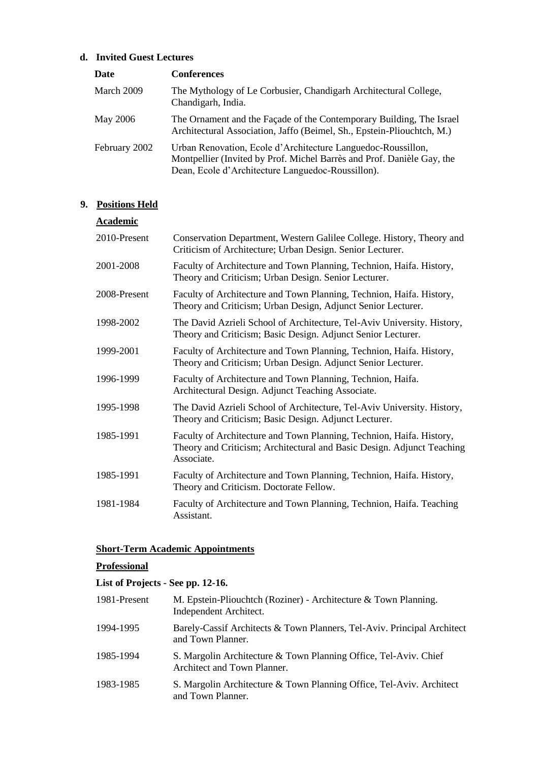# **d. Invited Guest Lectures**

| Date          | <b>Conferences</b>                                                                                                                                                                          |
|---------------|---------------------------------------------------------------------------------------------------------------------------------------------------------------------------------------------|
| March 2009    | The Mythology of Le Corbusier, Chandigarh Architectural College,<br>Chandigarh, India.                                                                                                      |
| May 2006      | The Ornament and the Façade of the Contemporary Building, The Israel<br>Architectural Association, Jaffo (Beimel, Sh., Epstein-Pliouchtch, M.)                                              |
| February 2002 | Urban Renovation, Ecole d'Architecture Languedoc-Roussillon,<br>Montpellier (Invited by Prof. Michel Barrès and Prof. Danièle Gay, the<br>Dean, Ecole d'Architecture Languedoc-Roussillon). |

# **9. Positions Held**

| <b>Academic</b> |                                                                                                                                                              |
|-----------------|--------------------------------------------------------------------------------------------------------------------------------------------------------------|
| 2010-Present    | Conservation Department, Western Galilee College. History, Theory and<br>Criticism of Architecture; Urban Design. Senior Lecturer.                           |
| 2001-2008       | Faculty of Architecture and Town Planning, Technion, Haifa. History,<br>Theory and Criticism; Urban Design. Senior Lecturer.                                 |
| 2008-Present    | Faculty of Architecture and Town Planning, Technion, Haifa. History,<br>Theory and Criticism; Urban Design, Adjunct Senior Lecturer.                         |
| 1998-2002       | The David Azrieli School of Architecture, Tel-Aviv University. History,<br>Theory and Criticism; Basic Design. Adjunct Senior Lecturer.                      |
| 1999-2001       | Faculty of Architecture and Town Planning, Technion, Haifa. History,<br>Theory and Criticism; Urban Design. Adjunct Senior Lecturer.                         |
| 1996-1999       | Faculty of Architecture and Town Planning, Technion, Haifa.<br>Architectural Design. Adjunct Teaching Associate.                                             |
| 1995-1998       | The David Azrieli School of Architecture, Tel-Aviv University. History,<br>Theory and Criticism; Basic Design. Adjunct Lecturer.                             |
| 1985-1991       | Faculty of Architecture and Town Planning, Technion, Haifa. History,<br>Theory and Criticism; Architectural and Basic Design. Adjunct Teaching<br>Associate. |
| 1985-1991       | Faculty of Architecture and Town Planning, Technion, Haifa. History,<br>Theory and Criticism. Doctorate Fellow.                                              |
| 1981-1984       | Faculty of Architecture and Town Planning, Technion, Haifa. Teaching<br>Assistant.                                                                           |

# **Short-Term Academic Appointments**

# **Professional**

# **List of Projects - See pp. 12-16.**

| 1981-Present | M. Epstein-Pliouchtch (Roziner) - Architecture $&$ Town Planning.<br>Independent Architect.     |
|--------------|-------------------------------------------------------------------------------------------------|
| 1994-1995    | Barely-Cassif Architects & Town Planners, Tel-Aviv. Principal Architect<br>and Town Planner.    |
| 1985-1994    | S. Margolin Architecture & Town Planning Office, Tel-Aviv. Chief<br>Architect and Town Planner. |
| 1983-1985    | S. Margolin Architecture & Town Planning Office, Tel-Aviv. Architect<br>and Town Planner.       |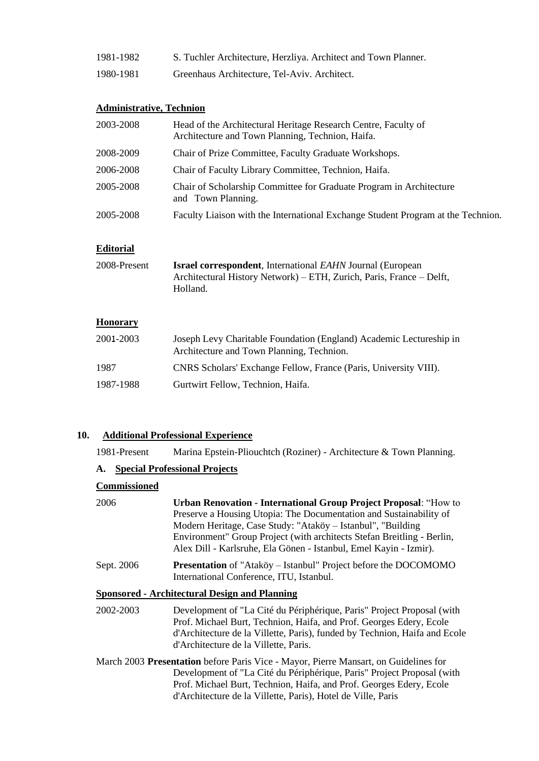- 1981-1982 S. Tuchler Architecture, Herzliya. Architect and Town Planner.
- 1980-1981 Greenhaus Architecture, Tel-Aviv. Architect.

### **Administrative, Technion**

| 2003-2008 | Head of the Architectural Heritage Research Centre, Faculty of<br>Architecture and Town Planning, Technion, Haifa. |
|-----------|--------------------------------------------------------------------------------------------------------------------|
| 2008-2009 | Chair of Prize Committee, Faculty Graduate Workshops.                                                              |
| 2006-2008 | Chair of Faculty Library Committee, Technion, Haifa.                                                               |
| 2005-2008 | Chair of Scholarship Committee for Graduate Program in Architecture<br>and Town Planning.                          |
| 2005-2008 | Faculty Liaison with the International Exchange Student Program at the Technion.                                   |

#### **Editorial**

| 2008-Present | <b>Israel correspondent</b> , International <i>EAHN</i> Journal (European |
|--------------|---------------------------------------------------------------------------|
|              | Architectural History Network) – ETH, Zurich, Paris, France – Delft,      |
|              | Holland.                                                                  |

# **Honorary**

| 2001-2003 | Joseph Levy Charitable Foundation (England) Academic Lectureship in<br>Architecture and Town Planning, Technion. |
|-----------|------------------------------------------------------------------------------------------------------------------|
| 1987      | CNRS Scholars' Exchange Fellow, France (Paris, University VIII).                                                 |
| 1987-1988 | Gurtwirt Fellow, Technion, Haifa.                                                                                |

#### **10. Additional Professional Experience**

1981-Present Marina Epstein-Pliouchtch (Roziner) - Architecture & Town Planning.

## **A. Special Professional Projects**

## **Commissioned**

| 2006       | <b>Urban Renovation - International Group Project Proposal: "How to</b><br>Preserve a Housing Utopia: The Documentation and Sustainability of<br>Modern Heritage, Case Study: "Ataköy - Istanbul", "Building<br>Environment" Group Project (with architects Stefan Breitling - Berlin,<br>Alex Dill - Karlsruhe, Ela Gönen - Istanbul, Emel Kayin - Izmir). |
|------------|-------------------------------------------------------------------------------------------------------------------------------------------------------------------------------------------------------------------------------------------------------------------------------------------------------------------------------------------------------------|
| Sept. 2006 | <b>Presentation</b> of "Ataköy – Istanbul" Project before the DOCOMOMO<br>International Conference, ITU, Istanbul.                                                                                                                                                                                                                                          |
|            | <b>Sponsored - Architectural Design and Planning</b>                                                                                                                                                                                                                                                                                                        |
| 2002-2003  | Development of "La Cité du Périphérique, Paris" Project Proposal (with<br>Prof. Michael Burt, Technion, Haifa, and Prof. Georges Edery, Ecole<br>d'Architecture de la Villette, Paris), funded by Technion, Haifa and Ecole<br>d'Architecture de la Villette, Paris.                                                                                        |
|            | March 2003 <b>Prosentation</b> before Paris Vice - Mayor, Pierre Mansart, on Guidelines for                                                                                                                                                                                                                                                                 |

March 2003 **Presentation** before Paris Vice - Mayor, Pierre Mansart, on Guidelines for Development of "La Cité du Périphérique, Paris" Project Proposal (with Prof. Michael Burt, Technion, Haifa, and Prof. Georges Edery, Ecole d'Architecture de la Villette, Paris), Hotel de Ville, Paris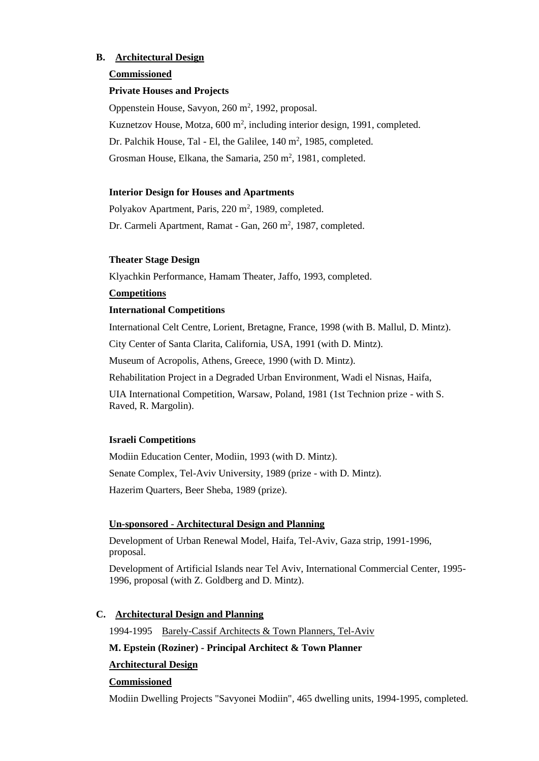## **B. Architectural Design**

#### **Commissioned**

#### **Private Houses and Projects**

Oppenstein House, Savyon, 260 m<sup>2</sup>, 1992, proposal. Kuznetzov House, Motza, 600 m<sup>2</sup>, including interior design, 1991, completed. Dr. Palchik House, Tal - El, the Galilee,  $140 \text{ m}^2$ ,  $1985$ , completed. Grosman House, Elkana, the Samaria, 250 m<sup>2</sup>, 1981, completed.

#### **Interior Design for Houses and Apartments**

Polyakov Apartment, Paris, 220 m<sup>2</sup>, 1989, completed. Dr. Carmeli Apartment, Ramat - Gan, 260 m<sup>2</sup>, 1987, completed.

#### **Theater Stage Design**

Klyachkin Performance, Hamam Theater, Jaffo, 1993, completed.

#### **Competitions**

#### **International Competitions**

International Celt Centre, Lorient, Bretagne, France, 1998 (with B. Mallul, D. Mintz).

City Center of Santa Clarita, California, USA, 1991 (with D. Mintz).

Museum of Acropolis, Athens, Greece, 1990 (with D. Mintz).

Rehabilitation Project in a Degraded Urban Environment, Wadi el Nisnas, Haifa,

UIA International Competition, Warsaw, Poland, 1981 (1st Technion prize - with S. Raved, R. Margolin).

## **Israeli Competitions**

Modiin Education Center, Modiin, 1993 (with D. Mintz). Senate Complex, Tel-Aviv University, 1989 (prize - with D. Mintz). Hazerim Quarters, Beer Sheba, 1989 (prize).

## **Un-sponsored** - **Architectural Design and Planning**

Development of Urban Renewal Model, Haifa, Tel-Aviv, Gaza strip, 1991-1996, proposal.

Development of Artificial Islands near Tel Aviv, International Commercial Center, 1995- 1996, proposal (with Z. Goldberg and D. Mintz).

## **C. Architectural Design and Planning**

1994-1995 Barely-Cassif Architects & Town Planners, Tel-Aviv

### **M. Epstein (Roziner) - Principal Architect & Town Planner**

## **Architectural Design**

#### **Commissioned**

Modiin Dwelling Projects "Savyonei Modiin", 465 dwelling units, 1994-1995, completed.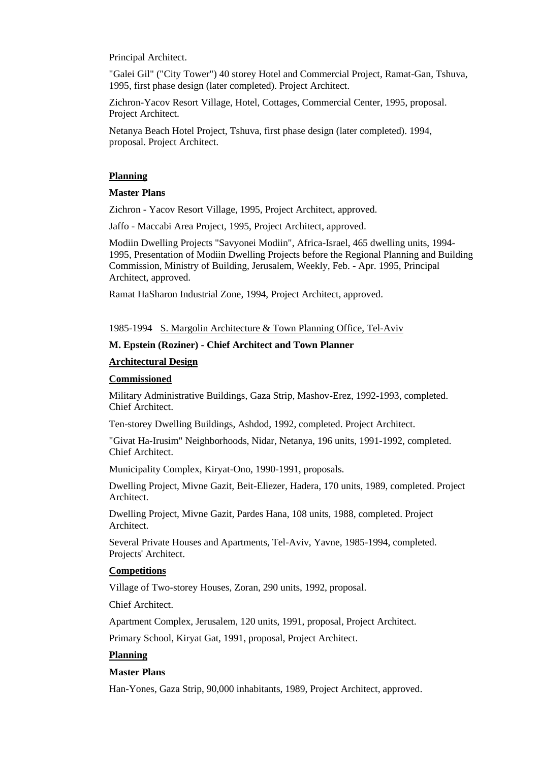Principal Architect.

"Galei Gil" ("City Tower") 40 storey Hotel and Commercial Project, Ramat-Gan, Tshuva, 1995, first phase design (later completed). Project Architect.

Zichron-Yacov Resort Village, Hotel, Cottages, Commercial Center, 1995, proposal. Project Architect.

Netanya Beach Hotel Project, Tshuva, first phase design (later completed). 1994, proposal. Project Architect.

#### **Planning**

#### **Master Plans**

Zichron - Yacov Resort Village, 1995, Project Architect, approved.

Jaffo - Maccabi Area Project, 1995, Project Architect, approved.

Modiin Dwelling Projects "Savyonei Modiin", Africa-Israel, 465 dwelling units, 1994- 1995, Presentation of Modiin Dwelling Projects before the Regional Planning and Building Commission, Ministry of Building, Jerusalem, Weekly, Feb. - Apr. 1995, Principal Architect, approved.

Ramat HaSharon Industrial Zone, 1994, Project Architect, approved.

1985-1994 S. Margolin Architecture & Town Planning Office, Tel-Aviv

#### **M. Epstein (Roziner) - Chief Architect and Town Planner**

#### **Architectural Design**

#### **Commissioned**

Military Administrative Buildings, Gaza Strip, Mashov-Erez, 1992-1993, completed. Chief Architect.

Ten-storey Dwelling Buildings, Ashdod, 1992, completed. Project Architect.

"Givat Ha-Irusim" Neighborhoods, Nidar, Netanya, 196 units, 1991-1992, completed. Chief Architect.

Municipality Complex, Kiryat-Ono, 1990-1991, proposals.

Dwelling Project, Mivne Gazit, Beit-Eliezer, Hadera, 170 units, 1989, completed. Project Architect.

Dwelling Project, Mivne Gazit, Pardes Hana, 108 units, 1988, completed. Project Architect.

Several Private Houses and Apartments, Tel-Aviv, Yavne, 1985-1994, completed. Projects' Architect.

#### **Competitions**

Village of Two-storey Houses, Zoran, 290 units, 1992, proposal.

Chief Architect.

Apartment Complex, Jerusalem, 120 units, 1991, proposal, Project Architect.

Primary School, Kiryat Gat, 1991, proposal, Project Architect.

#### **Planning**

#### **Master Plans**

Han-Yones, Gaza Strip, 90,000 inhabitants, 1989, Project Architect, approved.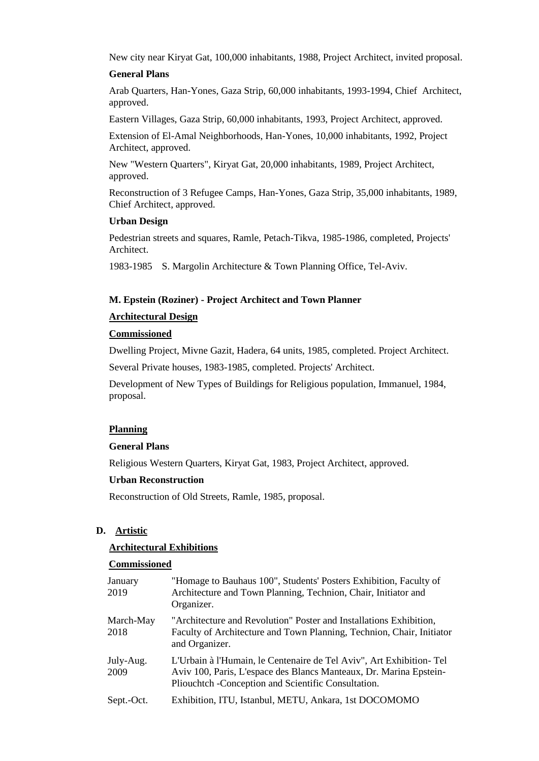New city near Kiryat Gat, 100,000 inhabitants, 1988, Project Architect, invited proposal.

#### **General Plans**

Arab Quarters, Han-Yones, Gaza Strip, 60,000 inhabitants, 1993-1994, Chief Architect, approved.

Eastern Villages, Gaza Strip, 60,000 inhabitants, 1993, Project Architect, approved.

Extension of El-Amal Neighborhoods, Han-Yones, 10,000 inhabitants, 1992, Project Architect, approved.

New "Western Quarters", Kiryat Gat, 20,000 inhabitants, 1989, Project Architect, approved.

Reconstruction of 3 Refugee Camps, Han-Yones, Gaza Strip, 35,000 inhabitants, 1989, Chief Architect, approved.

#### **Urban Design**

Pedestrian streets and squares, Ramle, Petach-Tikva, 1985-1986, completed, Projects' Architect.

1983-1985 S. Margolin Architecture & Town Planning Office, Tel-Aviv.

#### **M. Epstein (Roziner) - Project Architect and Town Planner**

#### **Architectural Design**

### **Commissioned**

Dwelling Project, Mivne Gazit, Hadera, 64 units, 1985, completed. Project Architect.

Several Private houses, 1983-1985, completed. Projects' Architect.

Development of New Types of Buildings for Religious population, Immanuel, 1984, proposal.

#### **Planning**

#### **General Plans**

Religious Western Quarters, Kiryat Gat, 1983, Project Architect, approved.

#### **Urban Reconstruction**

Reconstruction of Old Streets, Ramle, 1985, proposal.

#### **D. Artistic**

#### **Architectural Exhibitions**

#### **Commissioned**

| January<br>2019   | "Homage to Bauhaus 100", Students' Posters Exhibition, Faculty of<br>Architecture and Town Planning, Technion, Chair, Initiator and<br>Organizer.                                                 |
|-------------------|---------------------------------------------------------------------------------------------------------------------------------------------------------------------------------------------------|
| March-May<br>2018 | "Architecture and Revolution" Poster and Installations Exhibition,<br>Faculty of Architecture and Town Planning, Technion, Chair, Initiator<br>and Organizer.                                     |
| July-Aug.<br>2009 | L'Urbain à l'Humain, le Centenaire de Tel Aviv", Art Exhibition-Tel<br>Aviv 100, Paris, L'espace des Blancs Manteaux, Dr. Marina Epstein-<br>Pliouchtch - Conception and Scientific Consultation. |
| Sept.-Oct.        | Exhibition, ITU, Istanbul, METU, Ankara, 1st DOCOMOMO                                                                                                                                             |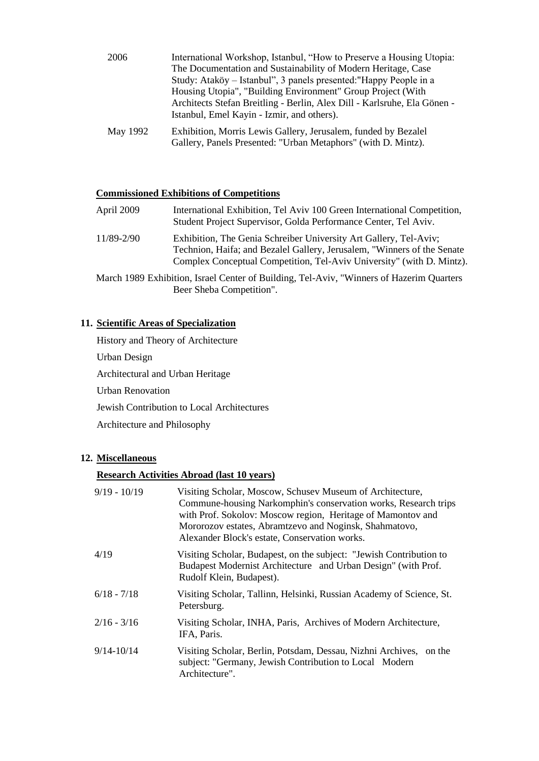| 2006     | International Workshop, Istanbul, "How to Preserve a Housing Utopia:<br>The Documentation and Sustainability of Modern Heritage, Case<br>Study: Ataköy – Istanbul", 3 panels presented: "Happy People in a<br>Housing Utopia", "Building Environment" Group Project (With<br>Architects Stefan Breitling - Berlin, Alex Dill - Karlsruhe, Ela Gönen -<br>Istanbul, Emel Kayin - Izmir, and others). |
|----------|-----------------------------------------------------------------------------------------------------------------------------------------------------------------------------------------------------------------------------------------------------------------------------------------------------------------------------------------------------------------------------------------------------|
| May 1992 | Exhibition, Morris Lewis Gallery, Jerusalem, funded by Bezalel                                                                                                                                                                                                                                                                                                                                      |

Gallery, Panels Presented: "Urban Metaphors" (with D. Mintz).

# **Commissioned Exhibitions of Competitions**

| April 2009 | International Exhibition, Tel Aviv 100 Green International Competition,<br>Student Project Supervisor, Golda Performance Center, Tel Aviv.                                                                             |
|------------|------------------------------------------------------------------------------------------------------------------------------------------------------------------------------------------------------------------------|
| 11/89-2/90 | Exhibition, The Genia Schreiber University Art Gallery, Tel-Aviv;<br>Technion, Haifa; and Bezalel Gallery, Jerusalem, "Winners of the Senate"<br>Complex Conceptual Competition, Tel-Aviv University" (with D. Mintz). |

March 1989 Exhibition, Israel Center of Building, Tel-Aviv, "Winners of Hazerim Quarters Beer Sheba Competition".

## **11. Scientific Areas of Specialization**

History and Theory of Architecture Urban Design Architectural and Urban Heritage Urban Renovation Jewish Contribution to Local Architectures Architecture and Philosophy

# **12. Miscellaneous**

### **Research Activities Abroad (last 10 years)**

| $9/19 - 10/19$ | Visiting Scholar, Moscow, Schusev Museum of Architecture,<br>Commune-housing Narkomphin's conservation works, Research trips<br>with Prof. Sokolov: Moscow region, Heritage of Mamontov and<br>Mororozov estates, Abramtzevo and Noginsk, Shahmatovo,<br>Alexander Block's estate, Conservation works. |
|----------------|--------------------------------------------------------------------------------------------------------------------------------------------------------------------------------------------------------------------------------------------------------------------------------------------------------|
| 4/19           | Visiting Scholar, Budapest, on the subject: "Jewish Contribution to<br>Budapest Modernist Architecture and Urban Design" (with Prof.<br>Rudolf Klein, Budapest).                                                                                                                                       |
| $6/18 - 7/18$  | Visiting Scholar, Tallinn, Helsinki, Russian Academy of Science, St.<br>Petersburg.                                                                                                                                                                                                                    |
| $2/16 - 3/16$  | Visiting Scholar, INHA, Paris, Archives of Modern Architecture,<br>IFA, Paris.                                                                                                                                                                                                                         |
| $9/14 - 10/14$ | Visiting Scholar, Berlin, Potsdam, Dessau, Nizhni Archives, on the<br>subject: "Germany, Jewish Contribution to Local Modern<br>Architecture".                                                                                                                                                         |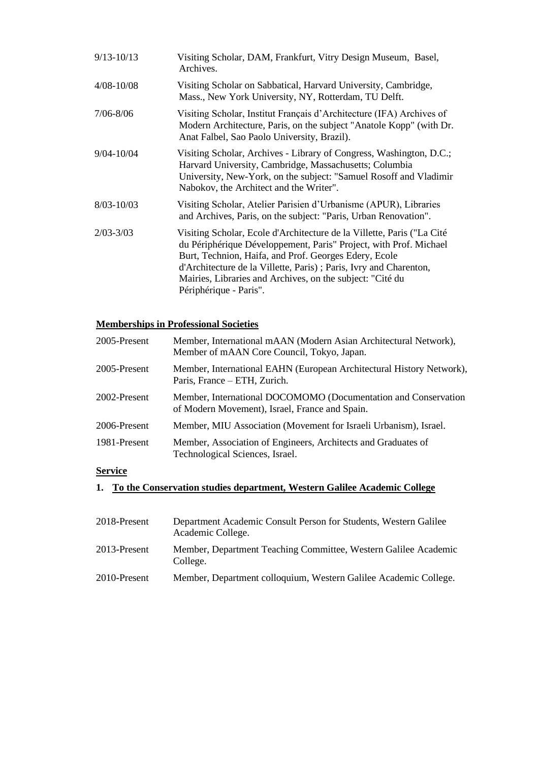| $9/13 - 10/13$ | Visiting Scholar, DAM, Frankfurt, Vitry Design Museum, Basel,<br>Archives.                                                                                                                                                                                                                                                                                        |
|----------------|-------------------------------------------------------------------------------------------------------------------------------------------------------------------------------------------------------------------------------------------------------------------------------------------------------------------------------------------------------------------|
| $4/08 - 10/08$ | Visiting Scholar on Sabbatical, Harvard University, Cambridge,<br>Mass., New York University, NY, Rotterdam, TU Delft.                                                                                                                                                                                                                                            |
| $7/06 - 8/06$  | Visiting Scholar, Institut Français d'Architecture (IFA) Archives of<br>Modern Architecture, Paris, on the subject "Anatole Kopp" (with Dr.<br>Anat Falbel, Sao Paolo University, Brazil).                                                                                                                                                                        |
| $9/04 - 10/04$ | Visiting Scholar, Archives - Library of Congress, Washington, D.C.;<br>Harvard University, Cambridge, Massachusetts; Columbia<br>University, New-York, on the subject: "Samuel Rosoff and Vladimir<br>Nabokov, the Architect and the Writer".                                                                                                                     |
| $8/03 - 10/03$ | Visiting Scholar, Atelier Parisien d'Urbanisme (APUR), Libraries<br>and Archives, Paris, on the subject: "Paris, Urban Renovation".                                                                                                                                                                                                                               |
| $2/03 - 3/03$  | Visiting Scholar, Ecole d'Architecture de la Villette, Paris ("La Cité<br>du Périphérique Développement, Paris" Project, with Prof. Michael<br>Burt, Technion, Haifa, and Prof. Georges Edery, Ecole<br>d'Architecture de la Villette, Paris) ; Paris, Ivry and Charenton,<br>Mairies, Libraries and Archives, on the subject: "Cité du<br>Périphérique - Paris". |

# **Memberships in Professional Societies**

| 2005-Present | Member, International mAAN (Modern Asian Architectural Network),<br>Member of mAAN Core Council, Tokyo, Japan.   |
|--------------|------------------------------------------------------------------------------------------------------------------|
| 2005-Present | Member, International EAHN (European Architectural History Network),<br>Paris, France – ETH, Zurich.             |
| 2002-Present | Member, International DOCOMOMO (Documentation and Conservation<br>of Modern Movement), Israel, France and Spain. |
| 2006-Present | Member, MIU Association (Movement for Israeli Urbanism), Israel.                                                 |
| 1981-Present | Member, Association of Engineers, Architects and Graduates of<br>Technological Sciences, Israel.                 |
| $\sim$       |                                                                                                                  |

# **Service**

# **1. To the Conservation studies department, Western Galilee Academic College**

| 2018-Present | Department Academic Consult Person for Students, Western Galilee<br>Academic College. |
|--------------|---------------------------------------------------------------------------------------|
| 2013-Present | Member, Department Teaching Committee, Western Galilee Academic<br>College.           |
| 2010-Present | Member, Department colloquium, Western Galilee Academic College.                      |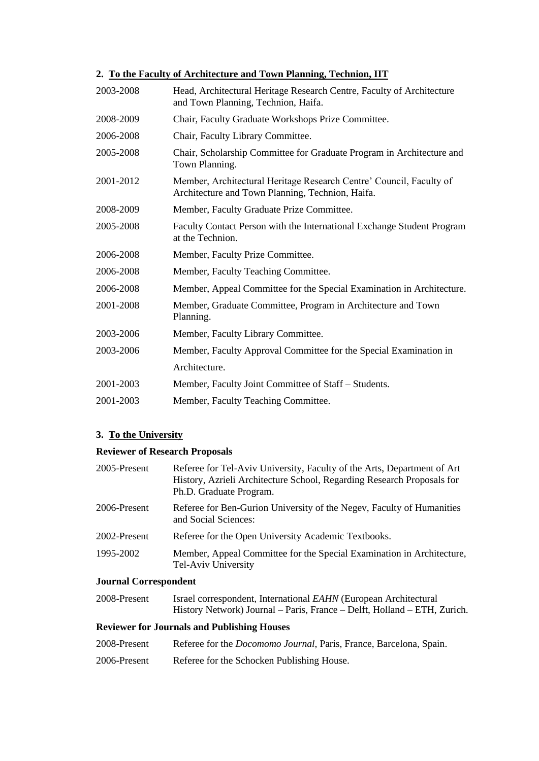#### **2. To the Faculty of Architecture and Town Planning, Technion, IIT**

| 2003-2008 | Head, Architectural Heritage Research Centre, Faculty of Architecture<br>and Town Planning, Technion, Haifa.            |
|-----------|-------------------------------------------------------------------------------------------------------------------------|
| 2008-2009 | Chair, Faculty Graduate Workshops Prize Committee.                                                                      |
| 2006-2008 | Chair, Faculty Library Committee.                                                                                       |
| 2005-2008 | Chair, Scholarship Committee for Graduate Program in Architecture and<br>Town Planning.                                 |
| 2001-2012 | Member, Architectural Heritage Research Centre' Council, Faculty of<br>Architecture and Town Planning, Technion, Haifa. |
| 2008-2009 | Member, Faculty Graduate Prize Committee.                                                                               |
| 2005-2008 | Faculty Contact Person with the International Exchange Student Program<br>at the Technion.                              |
| 2006-2008 | Member, Faculty Prize Committee.                                                                                        |
| 2006-2008 | Member, Faculty Teaching Committee.                                                                                     |
| 2006-2008 | Member, Appeal Committee for the Special Examination in Architecture.                                                   |
| 2001-2008 | Member, Graduate Committee, Program in Architecture and Town<br>Planning.                                               |
| 2003-2006 | Member, Faculty Library Committee.                                                                                      |
| 2003-2006 | Member, Faculty Approval Committee for the Special Examination in                                                       |
|           | Architecture.                                                                                                           |
| 2001-2003 | Member, Faculty Joint Committee of Staff - Students.                                                                    |
| 2001-2003 | Member, Faculty Teaching Committee.                                                                                     |

## **3. To the University**

#### **Reviewer of Research Proposals**

| 2005-Present                 | Referee for Tel-Aviv University, Faculty of the Arts, Department of Art<br>History, Azrieli Architecture School, Regarding Research Proposals for<br>Ph.D. Graduate Program. |
|------------------------------|------------------------------------------------------------------------------------------------------------------------------------------------------------------------------|
| 2006-Present                 | Referee for Ben-Gurion University of the Negev, Faculty of Humanities<br>and Social Sciences:                                                                                |
| 2002-Present                 | Referee for the Open University Academic Textbooks.                                                                                                                          |
| 1995-2002                    | Member, Appeal Committee for the Special Examination in Architecture,<br>Tel-Aviv University                                                                                 |
| <b>Journal Correspondent</b> |                                                                                                                                                                              |

2008-Present Israel correspondent, International *EAHN* (European Architectural History Network) Journal – Paris, France – Delft, Holland – ETH, Zurich.

#### **Reviewer for Journals and Publishing Houses**

- 2008-Present Referee for the *Docomomo Journal*, Paris, France, Barcelona, Spain.
- 2006-Present Referee for the Schocken Publishing House.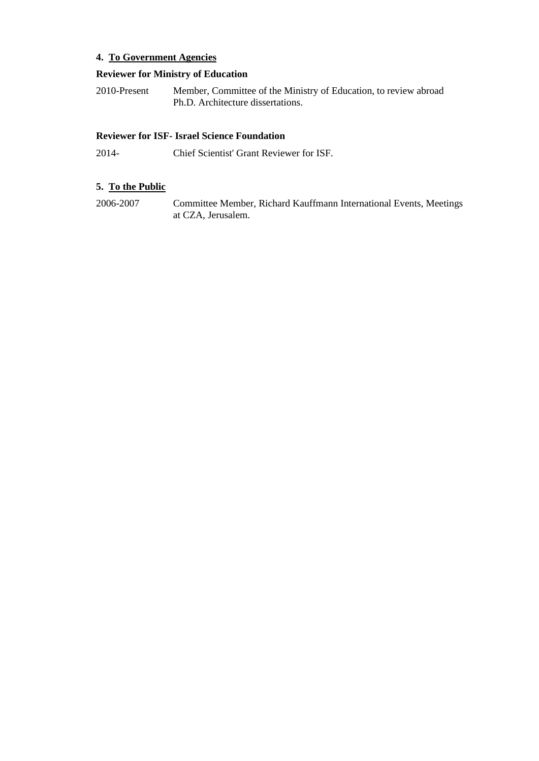# **4. To Government Agencies**

#### **Reviewer for Ministry of Education**

2010-Present Member, Committee of the Ministry of Education, to review abroad Ph.D. Architecture dissertations.

# **Reviewer for ISF- Israel Science Foundation**

2014- Chief Scientist' Grant Reviewer for ISF.

# **5. To the Public**

2006-2007 Committee Member, Richard Kauffmann International Events, Meetings at CZA, Jerusalem.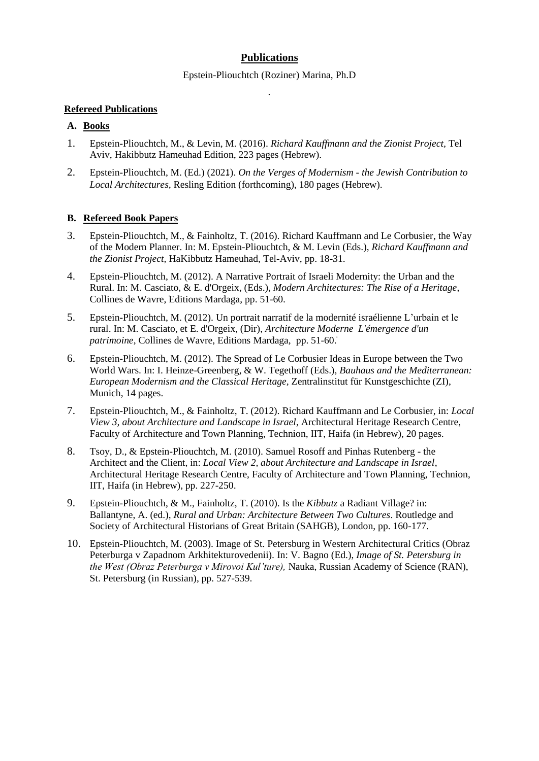# **Publications**

Epstein-Pliouchtch (Roziner) Marina, Ph.D .

#### **Refereed Publications**

# **A. Books**

- 1. Epstein-Pliouchtch, M., & Levin, M. (2016). *Richard Kauffmann and the Zionist Project,* Tel Aviv, Hakibbutz Hameuhad Edition, 223 pages (Hebrew).
- 2. Epstein-Pliouchtch, M. (Ed.) (2021). *On the Verges of Modernism - the Jewish Contribution to Local Architectures,* Resling Edition (forthcoming), 180 pages (Hebrew).

## **B. Refereed Book Papers**

- 3. Epstein-Pliouchtch, M., & Fainholtz, T. (2016). Richard Kauffmann and Le Corbusier, the Way of the Modern Planner. In: M. Epstein-Pliouchtch, & M. Levin (Eds.), *Richard Kauffmann and the Zionist Project,* HaKibbutz Hameuhad, Tel-Aviv, pp. 18-31.
- 4. Epstein-Pliouchtch, M. (2012). A Narrative Portrait of Israeli Modernity: the Urban and the Rural. In: M. Casciato, & E. d'Orgeix, (Eds.), *Modern Architectures: The Rise of a Heritage*, Collines de Wavre, Editions Mardaga, pp. 51-60.
- 5. Epstein-Pliouchtch, M. (2012). Un portrait narratif de la modernité israélienne L'urbain et le rural. In: M. Casciato, et E. d'Orgeix, (Dir), *Architecture Moderne L'émergence d'un patrimoine*, Collines de Wavre, Editions Mardaga, pp. 51-60.
- 6. Epstein-Pliouchtch, M. (2012). The Spread of Le Corbusier Ideas in Europe between the Two World Wars. In: I. Heinze-Greenberg, & W. Tegethoff (Eds.), *Bauhaus and the Mediterranean: European Modernism and the Classical Heritage,* Zentralinstitut für Kunstgeschichte (ZI), Munich, 14 pages.
- 7. Epstein-Pliouchtch, M., & Fainholtz, T. (2012). Richard Kauffmann and Le Corbusier, in: *Local View 3, about Architecture and Landscape in Israel*, Architectural Heritage Research Centre, Faculty of Architecture and Town Planning, Technion, IIT, Haifa (in Hebrew), 20 pages.
- 8. Tsoy, D., & Epstein-Pliouchtch, M. (2010). Samuel Rosoff and Pinhas Rutenberg the Architect and the Client, in: *Local View 2, about Architecture and Landscape in Israel*, Architectural Heritage Research Centre, Faculty of Architecture and Town Planning, Technion, IIT, Haifa (in Hebrew), pp. 227-250.
- 9. Epstein-Pliouchtch, & M., Fainholtz, T. (2010). Is the *Kibbutz* a Radiant Village? in: Ballantyne, A. (ed.), *Rural and Urban: Architecture Between Two Cultures*. Routledge and Society of Architectural Historians of Great Britain (SAHGB), London, pp. 160-177.
- 10. Epstein-Pliouchtch, M. (2003). Image of St. Petersburg in Western Architectural Critics (Obraz Peterburga v Zapadnom Arkhitekturovedenii). In: V. Bagno (Ed.), *Image of St. Petersburg in the West (Obraz Peterburga v Mirovoi Kul'ture),* Nauka, Russian Academy of Science (RAN), St. Petersburg (in Russian), pp. 527-539.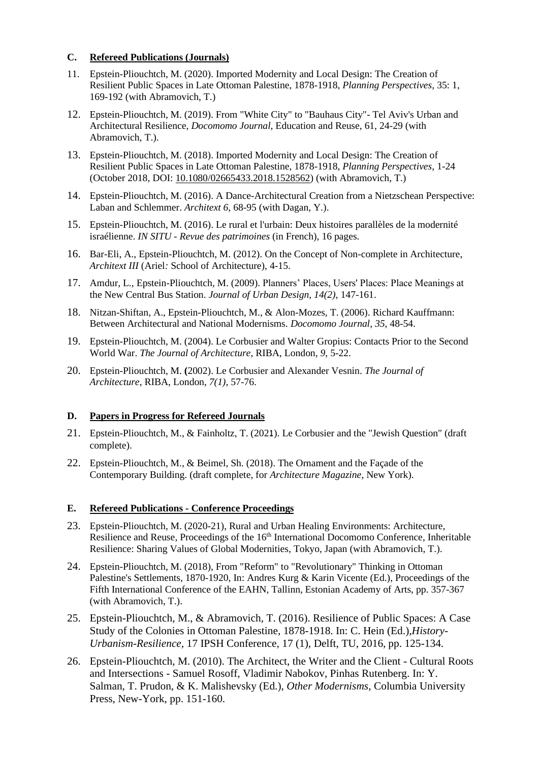### **C. Refereed Publications (Journals)**

- 11. Epstein-Pliouchtch, M. (2020). Imported Modernity and Local Design: The Creation of Resilient Public Spaces in Late Ottoman Palestine, 1878-1918, *Planning Perspectives,* 35: 1, 169-192 (with Abramovich, T.)
- 12. Epstein-Pliouchtch, M. (2019). From "White City" to "Bauhaus City"- Tel Aviv's Urban and Architectural Resilience, *Docomomo Journal*, Education and Reuse, 61, 24-29 (with Abramovich, T.).
- 13. Epstein-Pliouchtch, M. (2018). Imported Modernity and Local Design: The Creation of Resilient Public Spaces in Late Ottoman Palestine, 1878-1918, *Planning Perspectives,* 1-24 (October 2018, DOI: [10.1080/02665433.2018.1528562\)](https://doi.org/10.1080/02665433.2018.1528562) (with Abramovich, T.)
- 14. Epstein-Pliouchtch, M. (2016). A Dance-Architectural Creation from a Nietzschean Perspective: Laban and Schlemmer. *Architext 6,* 68-95 (with Dagan, Y.).
- 15. Epstein-Pliouchtch, M. (2016). Le rural et l'urbain: Deux histoires parallèles de la modernité israélienne. *IN SITU - Revue des patrimoines* (in French), 16 pages.
- 16. Bar-Eli, A., Epstein-Pliouchtch, M. (2012). On the Concept of Non-complete in Architecture, *Architext III* (Ariel*:* School of Architecture), 4-15.
- 17. Amdur, L., Epstein-Pliouchtch, M. (2009). Planners' Places, Users' Places: Place Meanings at the New Central Bus Station. *Journal [of Urban Design](http://www.informaworld.com/smpp/title~content=t713436528~db=all)*, *14(2),* 147-161.
- 18. Nitzan-Shiftan, A., Epstein-Pliouchtch, M., & Alon-Mozes, T. (2006). Richard Kauffmann: Between Architectural and National Modernisms. *Docomomo Journal*, *35*, 48-54.
- 19. Epstein-Pliouchtch, M. (2004). Le Corbusier and Walter Gropius: Contacts Prior to the Second World War. *The Journal of Architecture*, RIBA, London*, 9*, 5-22.
- 20. Epstein-Pliouchtch, M. **(**2002). Le Corbusier and Alexander Vesnin. *The Journal of Architecture*, RIBA, London, *7(1),* 57-76.

#### **D. Papers in Progress for Refereed Journals**

- 21. Epstein-Pliouchtch, M., & Fainholtz, T. (2021). Le Corbusier and the "Jewish Question" (draft complete).
- 22. Epstein-Pliouchtch, M., & Beimel, Sh. (2018). The Ornament and the Façade of the Contemporary Building. (draft complete, for *Architecture Magazine*, New York).

#### **E. Refereed Publications - Conference Proceedings**

- 23. Epstein-Pliouchtch, M. (2020-21), Rural and Urban Healing Environments: Architecture, Resilience and Reuse, Proceedings of the 16<sup>th</sup> International Docomomo Conference, Inheritable Resilience: Sharing Values of Global Modernities, Tokyo, Japan (with Abramovich, T.).
- 24. Epstein-Pliouchtch, M. (2018), From "Reform" to "Revolutionary" Thinking in Ottoman Palestine's Settlements, 1870-1920, In: Andres Kurg & Karin Vicente (Ed.), Proceedings of the Fifth International Conference of the EAHN, Tallinn, Estonian Academy of Arts, pp. 357-367 (with Abramovich, T.).
- 25. Epstein-Pliouchtch, M., & Abramovich, T. (2016). Resilience of Public Spaces: A Case Study of the Colonies in Ottoman Palestine, 1878-1918. In: C. Hein (Ed.)*,History-Urbanism-Resilience,* 17 IPSH Conference, 17 (1), Delft, TU, 2016, pp. 125-134.
- 26. Epstein-Pliouchtch, M. (2010). The Architect, the Writer and the Client Cultural Roots and Intersections - Samuel Rosoff, Vladimir Nabokov, Pinhas Rutenberg. In: Y. Salman, T. Prudon, & K. Malishevsky (Ed.), *Other Modernisms*, Columbia University Press, New-York, pp. 151-160.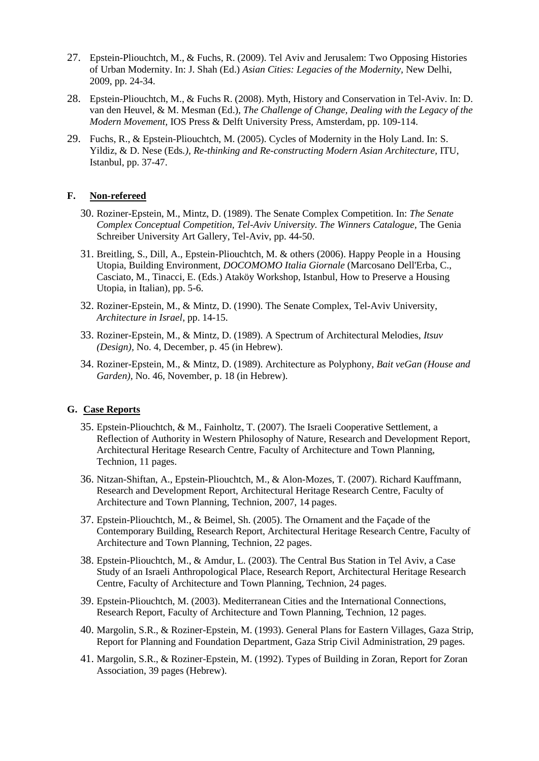- 27. Epstein-Pliouchtch, M., & Fuchs, R. (2009). Tel Aviv and Jerusalem: Two Opposing Histories of Urban Modernity. In: J. Shah (Ed.) *Asian Cities: Legacies of the Modernity,* New Delhi, 2009, pp. 24-34.
- 28. Epstein-Pliouchtch, M., & Fuchs R. (2008). Myth, History and Conservation in Tel-Aviv. In: D. van den Heuvel, & M. Mesman (Ed.), *The Challenge of Change, Dealing with the Legacy of the Modern Movement,* IOS Press & Delft University Press, Amsterdam, pp. 109-114.
- 29. Fuchs, R., & Epstein-Pliouchtch, M. (2005). Cycles of Modernity in the Holy Land. In: S. Yildiz, & D. Nese (Eds*.), Re-thinking and Re-constructing Modern Asian Architecture,* ITU, Istanbul, pp. 37-47.

#### **F. Non-refereed**

- 30. Roziner-Epstein, M., Mintz, D. (1989). The Senate Complex Competition. In: *The Senate Complex Conceptual Competition, Tel-Aviv University. The Winners Catalogue,* The Genia Schreiber University Art Gallery, Tel-Aviv, pp. 44-50.
- 31. Breitling, S., Dill, A., Epstein-Pliouchtch, M. & others (2006). Happy People in a Housing Utopia, Building Environment, *DOCOMOMO Italia Giornale* (Marcosano Dell'Erba, C., Casciato, M., Tinacci, E. (Eds.) Ataköy Workshop, Istanbul, How to Preserve a Housing Utopia, in Italian), pp. 5-6.
- 32. Roziner-Epstein, M., & Mintz, D. (1990). The Senate Complex, Tel-Aviv University, *Architecture in Israel*, pp. 14-15.
- 33. Roziner-Epstein, M., & Mintz, D. (1989). A Spectrum of Architectural Melodies, *Itsuv (Design),* No. 4, December, p. 45 (in Hebrew).
- 34. Roziner-Epstein, M., & Mintz, D. (1989). Architecture as Polyphony, *Bait veGan (House and Garden),* No. 46, November, p. 18 (in Hebrew).

# **G. Case Reports**

- 35. Epstein-Pliouchtch, & M., Fainholtz, T. (2007). The Israeli Cooperative Settlement, a Reflection of Authority in Western Philosophy of Nature, Research and Development Report, Architectural Heritage Research Centre, Faculty of Architecture and Town Planning, Technion, 11 pages.
- 36. Nitzan-Shiftan, A., Epstein-Pliouchtch, M., & Alon-Mozes, T. (2007). Richard Kauffmann, Research and Development Report, Architectural Heritage Research Centre, Faculty of Architecture and Town Planning, Technion, 2007, 14 pages.
- 37. Epstein-Pliouchtch, M., & Beimel, Sh. (2005). The Ornament and the Façade of the Contemporary Building, Research Report, Architectural Heritage Research Centre, Faculty of Architecture and Town Planning, Technion, 22 pages.
- 38. Epstein-Pliouchtch, M., & Amdur, L. (2003). The Central Bus Station in Tel Aviv, a Case Study of an Israeli Anthropological Place, Research Report, Architectural Heritage Research Centre, Faculty of Architecture and Town Planning, Technion, 24 pages.
- 39. Epstein-Pliouchtch, M. (2003). Mediterranean Cities and the International Connections, Research Report, Faculty of Architecture and Town Planning, Technion, 12 pages.
- 40. Margolin, S.R., & Roziner-Epstein, M. (1993). General Plans for Eastern Villages, Gaza Strip, Report for Planning and Foundation Department, Gaza Strip Civil Administration, 29 pages.
- 41. Margolin, S.R., & Roziner-Epstein, M. (1992). Types of Building in Zoran, Report for Zoran Association, 39 pages (Hebrew).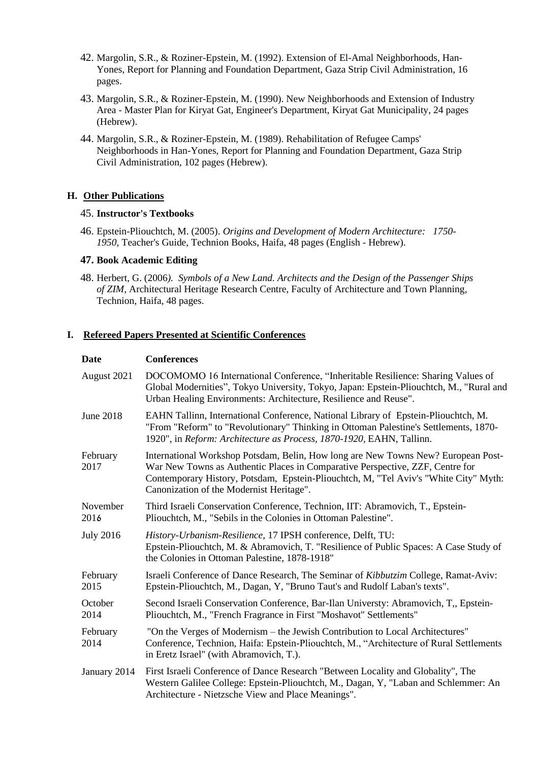- 42. Margolin, S.R., & Roziner-Epstein, M. (1992). Extension of El-Amal Neighborhoods, Han-Yones, Report for Planning and Foundation Department, Gaza Strip Civil Administration, 16 pages.
- 43. Margolin, S.R., & Roziner-Epstein, M. (1990). New Neighborhoods and Extension of Industry Area - Master Plan for Kiryat Gat, Engineer's Department, Kiryat Gat Municipality, 24 pages (Hebrew).
- 44. Margolin, S.R., & Roziner-Epstein, M. (1989). Rehabilitation of Refugee Camps' Neighborhoods in Han-Yones, Report for Planning and Foundation Department, Gaza Strip Civil Administration, 102 pages (Hebrew).

#### **H. Other Publications**

#### 45. **Instructor's Textbooks**

46. Epstein-Pliouchtch, M. (2005). *Origins and Development of Modern Architecture: 1750- 1950,* Teacher's Guide, Technion Books, Haifa, 48 pages (English - Hebrew).

#### **47. Book Academic Editing**

48. Herbert, G. (2006*). Symbols of a New Land. Architects and the Design of the Passenger Ships of ZIM,* Architectural Heritage Research Centre, Faculty of Architecture and Town Planning, Technion, Haifa, 48 pages.

#### **I. Refereed Papers Presented at Scientific Conferences**

#### **Date Conferences**

| August 2021      | DOCOMOMO 16 International Conference, "Inheritable Resilience: Sharing Values of<br>Global Modernities", Tokyo University, Tokyo, Japan: Epstein-Pliouchtch, M., "Rural and<br>Urban Healing Environments: Architecture, Resilience and Reuse".                                                        |
|------------------|--------------------------------------------------------------------------------------------------------------------------------------------------------------------------------------------------------------------------------------------------------------------------------------------------------|
| <b>June 2018</b> | EAHN Tallinn, International Conference, National Library of Epstein-Pliouchtch, M.<br>"From "Reform" to "Revolutionary" Thinking in Ottoman Palestine's Settlements, 1870-<br>1920", in Reform: Architecture as Process, 1870-1920, EAHN, Tallinn.                                                     |
| February<br>2017 | International Workshop Potsdam, Belin, How long are New Towns New? European Post-<br>War New Towns as Authentic Places in Comparative Perspective, ZZF, Centre for<br>Contemporary History, Potsdam, Epstein-Pliouchtch, M, "Tel Aviv's "White City" Myth:<br>Canonization of the Modernist Heritage". |
| November<br>2016 | Third Israeli Conservation Conference, Technion, IIT: Abramovich, T., Epstein-<br>Pliouchtch, M., "Sebils in the Colonies in Ottoman Palestine".                                                                                                                                                       |
| <b>July 2016</b> | History-Urbanism-Resilience, 17 IPSH conference, Delft, TU:<br>Epstein-Pliouchtch, M. & Abramovich, T. "Resilience of Public Spaces: A Case Study of<br>the Colonies in Ottoman Palestine, 1878-1918"                                                                                                  |
| February<br>2015 | Israeli Conference of Dance Research, The Seminar of Kibbutzim College, Ramat-Aviv:<br>Epstein-Pliouchtch, M., Dagan, Y. "Bruno Taut's and Rudolf Laban's texts".                                                                                                                                      |
| October<br>2014  | Second Israeli Conservation Conference, Bar-Ilan Universty: Abramovich, T., Epstein-<br>Pliouchtch, M., "French Fragrance in First "Moshavot" Settlements"                                                                                                                                             |
| February<br>2014 | "On the Verges of Modernism – the Jewish Contribution to Local Architectures"<br>Conference, Technion, Haifa: Epstein-Pliouchtch, M., "Architecture of Rural Settlements<br>in Eretz Israel" (with Abramovich, T.).                                                                                    |
| January 2014     | First Israeli Conference of Dance Research "Between Locality and Globality", The<br>Western Galilee College: Epstein-Pliouchtch, M., Dagan, Y, "Laban and Schlemmer: An<br>Architecture - Nietzsche View and Place Meanings".                                                                          |